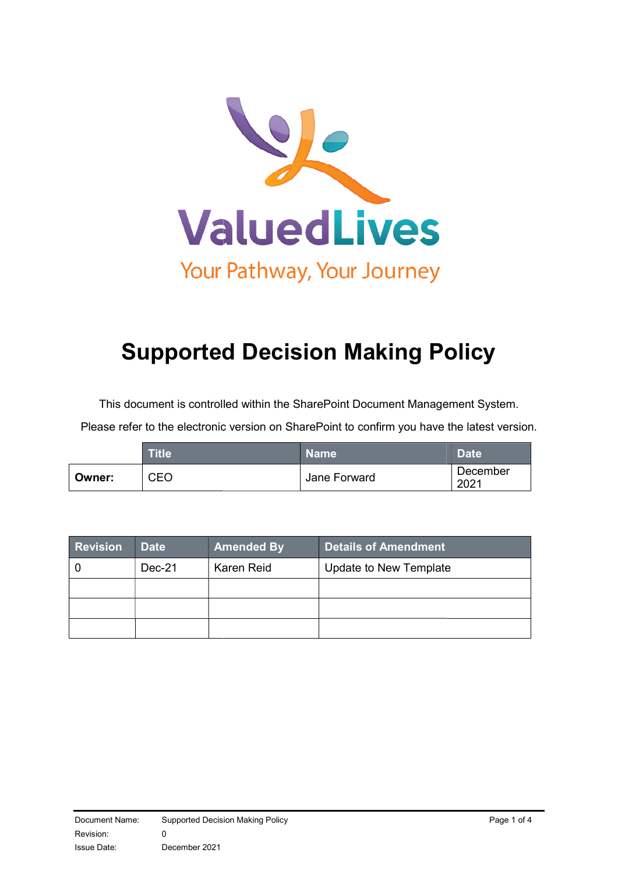

# Supported Decision Making Policy

This document is controlled within the SharePoint Document Management System.

Please refer to the electronic version on SharePoint to confirm you have the latest version.

|        | <b>Title</b> | <b>Name</b>  | <b>Date</b>      |
|--------|--------------|--------------|------------------|
| Owner: | CEO          | Jane Forward | December<br>2021 |

| <b>Revision</b> | <b>Date</b> | <b>Amended By</b> | Details of Amendment   |
|-----------------|-------------|-------------------|------------------------|
|                 | Dec-21      | Karen Reid        | Update to New Template |
|                 |             |                   |                        |
|                 |             |                   |                        |
|                 |             |                   |                        |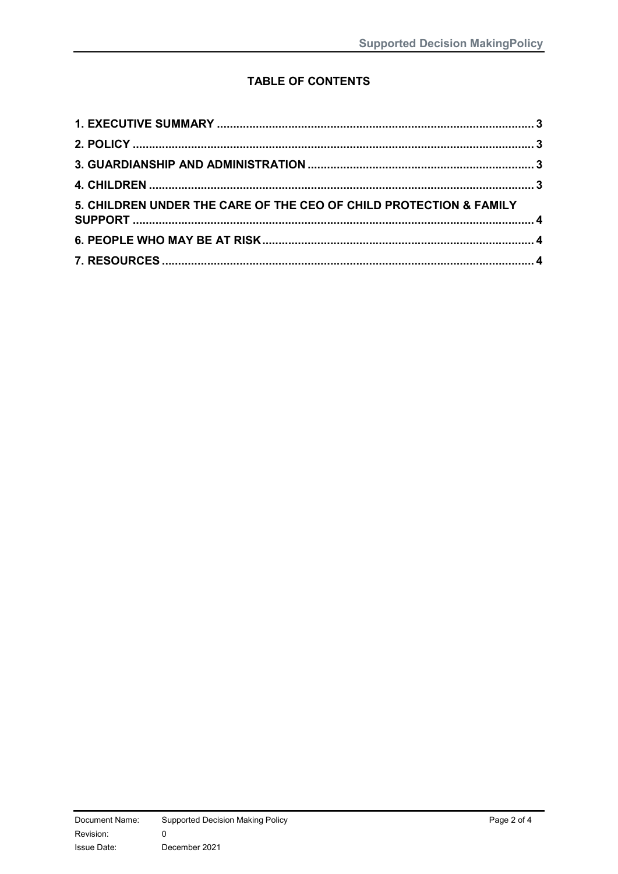# **TABLE OF CONTENTS**

| 5. CHILDREN UNDER THE CARE OF THE CEO OF CHILD PROTECTION & FAMILY |  |
|--------------------------------------------------------------------|--|
|                                                                    |  |
|                                                                    |  |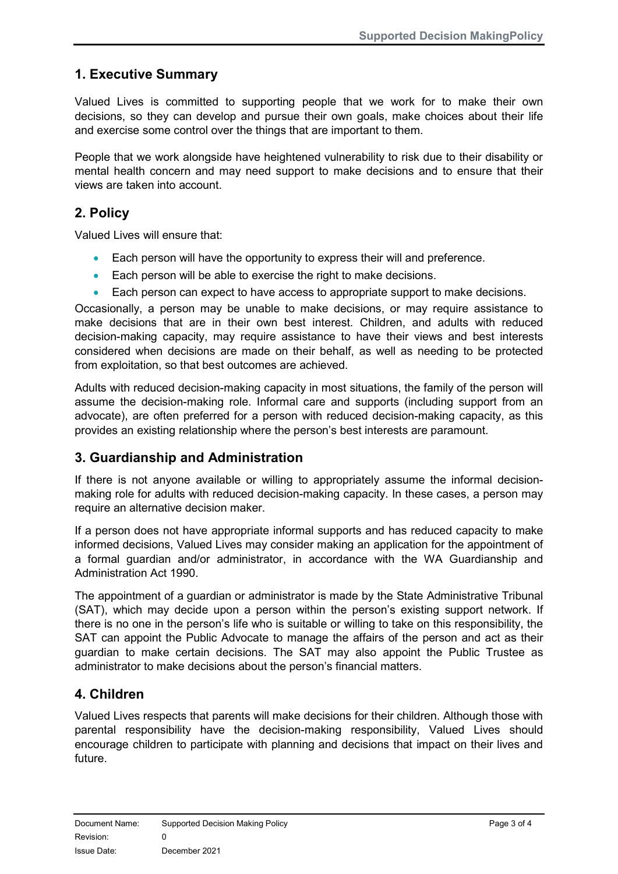# 1. Executive Summary

Valued Lives is committed to supporting people that we work for to make their own decisions, so they can develop and pursue their own goals, make choices about their life and exercise some control over the things that are important to them.

People that we work alongside have heightened vulnerability to risk due to their disability or mental health concern and may need support to make decisions and to ensure that their views are taken into account.

### 2. Policy

Valued Lives will ensure that:

- Each person will have the opportunity to express their will and preference.
- **Each person will be able to exercise the right to make decisions.**
- Each person can expect to have access to appropriate support to make decisions.

Occasionally, a person may be unable to make decisions, or may require assistance to make decisions that are in their own best interest. Children, and adults with reduced decision-making capacity, may require assistance to have their views and best interests considered when decisions are made on their behalf, as well as needing to be protected from exploitation, so that best outcomes are achieved.

Adults with reduced decision-making capacity in most situations, the family of the person will assume the decision-making role. Informal care and supports (including support from an advocate), are often preferred for a person with reduced decision-making capacity, as this provides an existing relationship where the person's best interests are paramount.

#### 3. Guardianship and Administration

If there is not anyone available or willing to appropriately assume the informal decisionmaking role for adults with reduced decision-making capacity. In these cases, a person may require an alternative decision maker.

If a person does not have appropriate informal supports and has reduced capacity to make informed decisions, Valued Lives may consider making an application for the appointment of a formal guardian and/or administrator, in accordance with the WA Guardianship and Administration Act 1990.

The appointment of a guardian or administrator is made by the State Administrative Tribunal (SAT), which may decide upon a person within the person's existing support network. If there is no one in the person's life who is suitable or willing to take on this responsibility, the SAT can appoint the Public Advocate to manage the affairs of the person and act as their guardian to make certain decisions. The SAT may also appoint the Public Trustee as administrator to make decisions about the person's financial matters.

#### 4. Children

Valued Lives respects that parents will make decisions for their children. Although those with parental responsibility have the decision-making responsibility, Valued Lives should encourage children to participate with planning and decisions that impact on their lives and future.